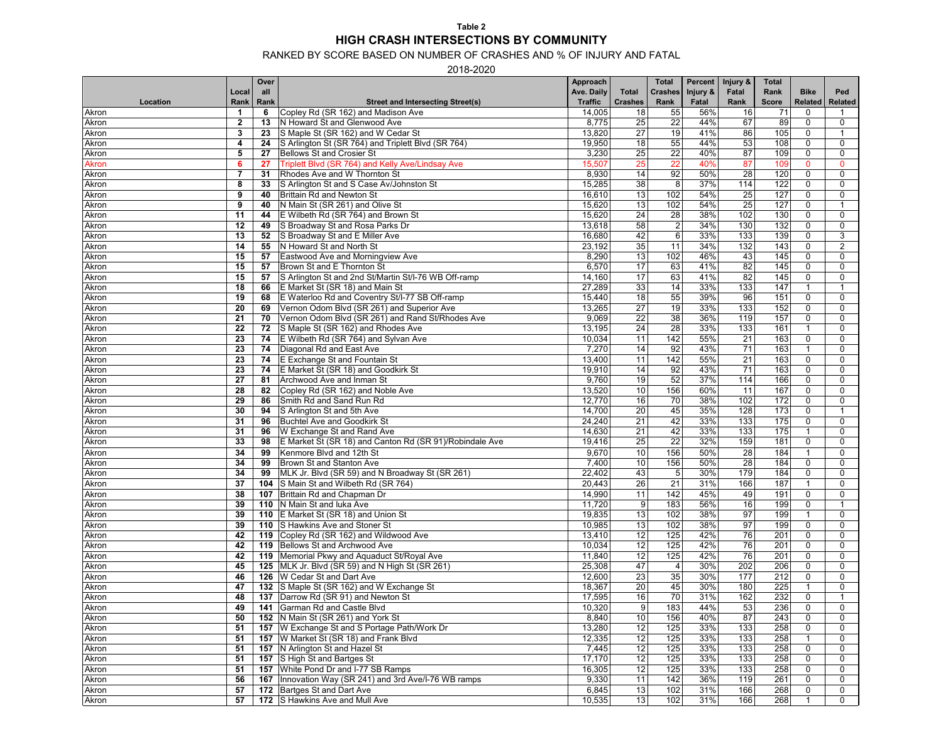#### RANKED BY SCORE BASED ON NUMBER OF CRASHES AND % OF INJURY AND FATAL

2018-2020

|              |                | Over |                                                         | Approach       |                 | <b>Total</b>    | Percent  | Injury &         | <b>Total</b> |                            |                |
|--------------|----------------|------|---------------------------------------------------------|----------------|-----------------|-----------------|----------|------------------|--------------|----------------------------|----------------|
|              | Local          | all  |                                                         | Ave. Daily     | Total           | <b>Crashes</b>  | Injury & | Fatal            | Rank         | <b>Bike</b>                | Ped            |
| Location     | Rank           | Rank | <b>Street and Intersecting Street(s)</b>                | <b>Traffic</b> | <b>Crashes</b>  | Rank            | Fatal    | Rank             | Score        | Related                    | Related        |
| Akron        | 1              | 6    | Copley Rd (SR 162) and Madison Ave                      | 14,005         | 18              | 55              | 56%      | 16               | 71           | $\mathbf 0$                |                |
| Akron        | $\overline{2}$ | 13   | N Howard St and Glenwood Ave                            | 8,775          | 25              | 22              | 44%      | 67               | 89           | $\mathbf 0$                | $\mathbf 0$    |
| Akron        | 3              | 23   | S Maple St (SR 162) and W Cedar St                      | 13,820         | 27              | 19              | 41%      | 86               | 105          | 0                          | $\mathbf{1}$   |
| Akron        | 4              | 24   | S Arlington St (SR 764) and Triplett Blvd (SR 764)      | 19,950         | 18              | 55              | 44%      | 53               | 108          | $\mathbf 0$                | 0              |
| Akron        | 5              | 27   | Bellows St and Crosier St                               | 3,230          | $\overline{25}$ | $\overline{22}$ | 40%      | 87               | 109          | $\mathbf 0$                | $\mathbf 0$    |
| <b>Akron</b> | 6              | 27   | Triplett Blvd (SR 764) and Kelly Ave/Lindsay Ave        | 15,507         | 25              | 22              | 40%      | 87               | 109          | $\mathbf{0}$               | $\mathbf{0}$   |
| Akron        | $\overline{7}$ | 31   | Rhodes Ave and W Thornton St                            | 8,930          | 14              | 92              | 50%      | 28               | 120          | $\mathbf 0$                | 0              |
| Akron        | 8              | 33   | S Arlington St and S Case Av/Johnston St                | 15,285         | 38              | $\overline{8}$  | 37%      | 114              | 122          | $\mathbf 0$                | $\mathbf 0$    |
| Akron        | 9              | 40   | Brittain Rd and Newton St                               | 16,610         | 13              | 102             | 54%      | 25               | 127          | $\mathbf 0$                | $\mathbf 0$    |
| Akron        | 9              | 40   | N Main St (SR 261) and Olive St                         | 15,620         | 13              | 102             | 54%      | 25               | 127          | 0                          | $\mathbf{1}$   |
|              | 11             | 44   | E Wilbeth Rd (SR 764) and Brown St                      | 15,620         | 24              | 28              | 38%      | 102              | 130          | 0                          | 0              |
| Akron        |                |      |                                                         |                |                 | $\overline{2}$  | 34%      | 130              |              |                            |                |
| Akron        | 12             | 49   | S Broadway St and Rosa Parks Dr                         | 13,618         | 58              | $6\phantom{1}$  |          |                  | 132          | 0                          | 0              |
| Akron        | 13             | 52   | S Broadway St and E Miller Ave                          | 16,680         | 42              |                 | 33%      | 133              | 139          | $\mathbf 0$<br>$\mathbf 0$ | 3              |
| Akron        | 14             | 55   | N Howard St and North St                                | 23,192         | 35              | 11              | 34%      | 132              | 143          |                            | $\overline{2}$ |
| Akron        | 15             | 57   | Eastwood Ave and Morningview Ave                        | 8,290          | 13              | 102             | 46%      | 43               | 145          | $\mathbf 0$                | 0              |
| Akron        | 15             | 57   | Brown St and E Thornton St                              | 6,570          | 17              | 63              | 41%      | 82               | 145          | $\mathbf 0$                | 0              |
| Akron        | 15             | 57   | S Arlington St and 2nd St/Martin St/I-76 WB Off-ramp    | 14,160         | 17              | 63              | 41%      | 82               | 145          | $\mathbf 0$                | $\mathbf 0$    |
| Akron        | 18             | 66   | E Market St (SR 18) and Main St                         | 27,289         | 33              | 14              | 33%      | 133              | 147          | $\mathbf{1}$               | $\mathbf{1}$   |
| Akron        | 19             | 68   | E Waterloo Rd and Coventry St/I-77 SB Off-ramp          | 15,440         | 18              | 55              | 39%      | 96               | 151          | $\mathbf 0$                | $\mathbf 0$    |
| Akron        | 20             | 69   | Vernon Odom Blvd (SR 261) and Superior Ave              | 13,265         | $\overline{27}$ | 19              | 33%      | 133              | 152          | 0                          | 0              |
| Akron        | 21             | 70   | Vernon Odom Blvd (SR 261) and Rand St/Rhodes Ave        | 9,069          | $\overline{22}$ | 38              | 36%      | 119              | 157          | 0                          | $\mathbf 0$    |
| Akron        | 22             | 72   | S Maple St (SR 162) and Rhodes Ave                      | 13,195         | 24              | 28              | 33%      | 133              | 161          |                            | 0              |
| Akron        | 23             | 74   | E Wilbeth Rd (SR 764) and Sylvan Ave                    | 10,034         | 11              | 142             | 55%      | $\overline{21}$  | 163          | $\mathbf 0$                | 0              |
| Akron        | 23             | 74   | Diagonal Rd and East Ave                                | 7,270          | 14              | 92              | 43%      | 71               | 163          | $\overline{1}$             | 0              |
| Akron        | 23             | 74   | E Exchange St and Fountain St                           | 13,400         | 11              | 142             | 55%      | 21               | 163          | $\mathbf 0$                | 0              |
| Akron        | 23             | 74   | E Market St (SR 18) and Goodkirk St                     | 19,910         | 14              | 92              | 43%      | 71               | 163          | $\mathbf 0$                | 0              |
| Akron        | 27             | 81   | Archwood Ave and Inman St                               | 9,760          | 19              | 52              | 37%      | 114              | 166          | 0                          | 0              |
| Akron        | 28             | 82   | Copley Rd (SR 162) and Noble Ave                        | 13,520         | 10              | 156             | 60%      | 11               | 167          | 0                          | 0              |
| Akron        | 29             | 86   | Smith Rd and Sand Run Rd                                | 12,770         | 16              | 70              | 38%      | 102              | 172          | $\mathbf 0$                | 0              |
| Akron        | 30             | 94   | S Arlington St and 5th Ave                              | 14,700         | $\overline{20}$ | 45              | 35%      | 128              | 173          | $\mathbf 0$                |                |
| Akron        | 31             | 96   | <b>Buchtel Ave and Goodkirk St</b>                      | 24,240         | 21              | 42              | 33%      | 133              | 175          | $\mathbf 0$                | 0              |
| Akron        | 31             | 96   | W Exchange St and Rand Ave                              | 14,630         | 21              | 42              | 33%      | 133              | 175          | $\mathbf 1$                | 0              |
| Akron        | 33             | 98   | E Market St (SR 18) and Canton Rd (SR 91)/Robindale Ave | 19,416         | $\overline{25}$ | 22              | 32%      | 159              | 181          | $\mathbf 0$                | $\mathbf 0$    |
| Akron        | 34             | 99   | Kenmore Blvd and 12th St                                | 9,670          | 10              | 156             | 50%      | 28               | 184          | $\mathbf{1}$               | 0              |
| Akron        | 34             | 99   | Brown St and Stanton Ave                                | 7,400          | 10              | 156             | 50%      | 28               | 184          | $\mathbf 0$                | $\mathbf 0$    |
| Akron        | 34             | 99   | MLK Jr. Blvd (SR 59) and N Broadway St (SR 261)         | 22,402         | 43              | $5\phantom{.0}$ | 30%      | 179              | 184          | 0                          | $\mathbf 0$    |
| Akron        | 37             |      | 104 S Main St and Wilbeth Rd (SR 764)                   | 20,443         | 26              | 21              | 31%      | 166              | 187          | $\mathbf{1}$               | 0              |
| Akron        | 38             |      | 107 Brittain Rd and Chapman Dr                          | 14,990         | 11              | 142             | 45%      | 49               | 191          | 0                          | $\mathbf 0$    |
| Akron        | 39             |      | 110 N Main St and luka Ave                              | 11,720         | 9               | $\frac{1}{183}$ | 56%      | 16               | 199          | 0                          | $\mathbf{1}$   |
| Akron        | 39             |      | 110 E Market St (SR 18) and Union St                    | 19,835         | 13              | 102             | 38%      | 97               | 199          |                            | 0              |
| Akron        | 39             |      | 110 S Hawkins Ave and Stoner St                         | 10,985         | 13              | 102             | 38%      | 97               | 199          | $\mathbf 0$                | 0              |
| Akron        | 42             |      | 119 Copley Rd (SR 162) and Wildwood Ave                 | 13,410         | 12              | 125             | 42%      | 76               | 201          | $\mathbf 0$                | 0              |
| Akron        | 42             |      | 119 Bellows St and Archwood Ave                         | 10,034         | 12              | 125             | 42%      | 76               | 201          | $\mathbf 0$                | 0              |
| Akron        | 42             |      | 119 Memorial Pkwy and Aquaduct St/Royal Ave             | 11,840         | 12              | 125             | 42%      | 76               | 201          | $\mathbf 0$                | 0              |
| Akron        | 45             |      | 125 MLK Jr. Blvd (SR 59) and N High St (SR 261)         | 25,308         | 47              | $\overline{4}$  | 30%      | 202              | 206          | $\mathbf 0$                | $\mathbf 0$    |
| Akron        | 46             |      | 126 W Cedar St and Dart Ave                             | 12,600         | 23              | 35              | 30%      | 177              | 212          | 0                          | $\mathbf 0$    |
| Akron        | 47             |      | 132 S Maple St (SR 162) and W Exchange St               | 18,367         | 20              | 45              | 30%      | 180              | 225          | $\mathbf 1$                | 0              |
| Akron        | 48             |      | 137 Darrow Rd (SR 91) and Newton St                     | 17,595         | 16              | 70              | 31%      | 162              | 232          | 0                          | 1              |
| Akron        | 49             |      | 141 Garman Rd and Castle Blvd                           | 10,320         | $\overline{9}$  | 183             | 44%      | 53               | 236          | $\Omega$                   | $\Omega$       |
| Akron        | 50             |      | 152 N Main St (SR 261) and York St                      | 8,840          | 10              | 156             | 40%      | 87               | 243          | $\mathbf 0$                | 0              |
| Akron        | 51             |      | 157 W Exchange St and S Portage Path/Work Dr            | 13,280         | $\overline{12}$ | 125             | 33%      | 133              | 258          | $\mathbf 0$                | 0              |
| Akron        | 51             | 157  | W Market St (SR 18) and Frank Blvd                      | 12,335         | 12              | 125             | 33%      | $\overline{133}$ | 258          |                            | 0              |
|              | 51             |      | 157 N Arlington St and Hazel St                         | 7,445          | $\overline{12}$ | 125             | 33%      |                  | 258          | $\mathbf 0$                | 0              |
| Akron        |                |      | 157 S High St and Bartges St                            | 17,170         | $\overline{12}$ | 125             | 33%      | 133<br>133       | 258          |                            |                |
| Akron        | 51             |      |                                                         |                |                 |                 |          |                  |              | 0                          | 0              |
| Akron        | 51             |      | 157 White Pond Dr and I-77 SB Ramps                     | 16,305         | 12              | 125             | 33%      | 133              | 258          | 0                          | 0              |
| Akron        | 56             |      | 167 Innovation Way (SR 241) and 3rd Ave/I-76 WB ramps   | 9,330          | 11              | 142             | 36%      | 119              | 261          | 0                          | 0              |
| Akron        | 57             |      | 172 Bartges St and Dart Ave                             | 6,845          | 13              | 102             | 31%      | 166              | 268          | $\mathbf 0$                | 0              |
| Akron        | 57             |      | 172 S Hawkins Ave and Mull Ave                          | 10,535         | 13              | 102             | 31%      | 166              | 268          | $\mathbf{1}$               | 0              |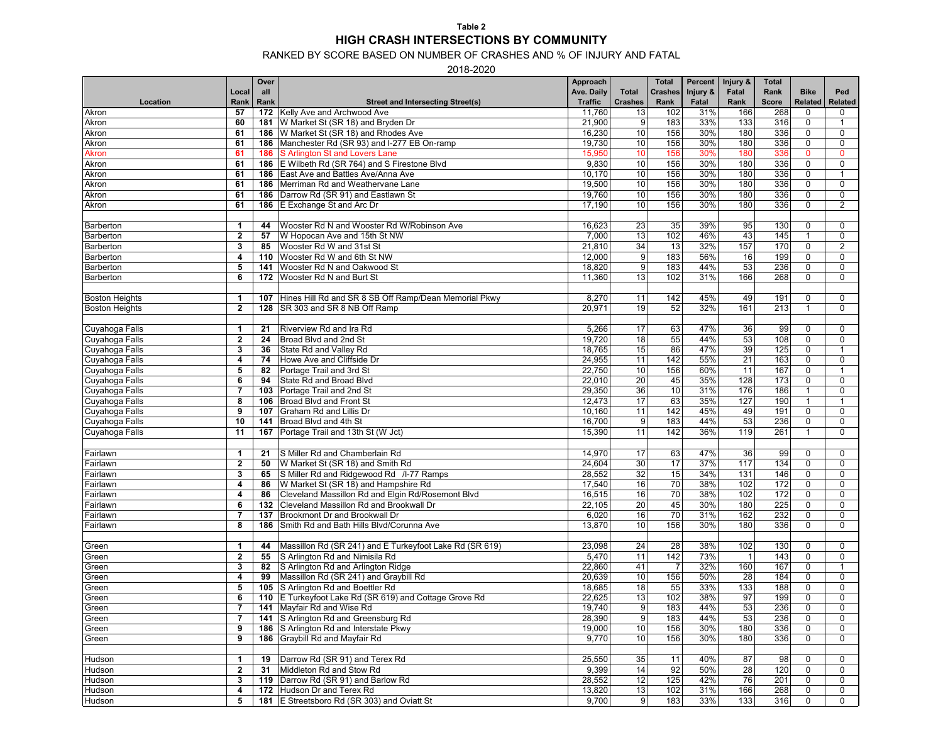#### RANKED BY SCORE BASED ON NUMBER OF CRASHES AND % OF INJURY AND FATAL

2018-2020

|                       |                         | Over |                                                         | Approach       |                 | <b>Total</b>   | Percent  | Injury &        | <b>Total</b> |                |                |
|-----------------------|-------------------------|------|---------------------------------------------------------|----------------|-----------------|----------------|----------|-----------------|--------------|----------------|----------------|
|                       | Local                   | all  |                                                         | Ave. Daily     | <b>Total</b>    | <b>Crashes</b> | Injury & | Fatal           | Rank         | <b>Bike</b>    | Ped            |
| Location              | Rank                    | Rank | <b>Street and Intersecting Street(s)</b>                | <b>Traffic</b> | <b>Crashes</b>  | Rank           | Fatal    | Rank            | <b>Score</b> | <b>Related</b> | <b>Related</b> |
| Akron                 | 57                      |      | 172 Kelly Ave and Archwood Ave                          | 11,760         | 13              | 102            | 31%      | 166             | 268          | $\mathbf 0$    | 0              |
| Akron                 | 60                      |      | 181 W Market St (SR 18) and Bryden Dr                   | 21,900         | 9               | 183            | 33%      | 133             | 316          | 0              | $\mathbf{1}$   |
| Akron                 | 61                      |      | <b>186</b> W Market St (SR 18) and Rhodes Ave           | 16,230         | 10              | 156            | 30%      | 180             | 336          | 0              | 0              |
| Akron                 | 61                      |      | 186 Manchester Rd (SR 93) and I-277 EB On-ramp          | 19,730         | $\overline{10}$ | 156            | 30%      | 180             | 336          | $\pmb{0}$      | $\mathbf 0$    |
| <b>Akron</b>          | 61                      |      | <b>186</b> S Arlington St and Lovers Lane               | 15,950         | 10              | 156            | 30%      | 180             | 336          | $\mathbf 0$    | $\mathbf{0}$   |
| Akron                 | 61                      |      | 186 E Wilbeth Rd (SR 764) and S Firestone Blvd          | 9,830          | 10              | 156            | 30%      | 180             | 336          | $\mathbf 0$    | $\mathbf 0$    |
| Akron                 | 61                      |      | <b>186</b> East Ave and Battles Ave/Anna Ave            | 10,170         | 10              | 156            | 30%      | 180             | 336          | $\mathbf 0$    | $\mathbf{1}$   |
| Akron                 | 61                      |      | 186 Merriman Rd and Weathervane Lane                    | 19,500         | 10              | 156            | 30%      | 180             | 336          | $\mathbf 0$    | 0              |
| Akron                 | 61                      |      | 186 Darrow Rd (SR 91) and Eastlawn St                   | 19,760         | 10              | 156            | 30%      | 180             | 336          | $\pmb{0}$      | $\mathbf 0$    |
|                       | 61                      |      |                                                         | 17,190         | 10              | 156            | 30%      | 180             | 336          | $\mathbf 0$    | $\overline{2}$ |
| Akron                 |                         |      | 186 E Exchange St and Arc Dr                            |                |                 |                |          |                 |              |                |                |
|                       |                         |      |                                                         |                |                 |                |          |                 |              |                |                |
| Barberton             | 1                       | 44   | Wooster Rd N and Wooster Rd W/Robinson Ave              | 16,623         | 23              | 35             | 39%      | 95              | 130          | 0              | 0              |
| Barberton             | $\mathbf{2}$            | 57   | W Hopocan Ave and 15th St NW                            | 7,000          | 13              | 102            | 46%      | 43              | 145          | $\mathbf 1$    | $\mathbf 0$    |
| Barberton             | 3                       | 85   | Wooster Rd W and 31st St                                | 21,810         | 34              | 13             | 32%      | 157             | 170          | $\pmb{0}$      | 2              |
| Barberton             | $\overline{\mathbf{4}}$ | 110  | Wooster Rd W and 6th St NW                              | 12,000         | 9               | 183            | 56%      | 16              | 199          | $\mathbf 0$    | $\mathbf 0$    |
| Barberton             | 5                       | 141  | Wooster Rd N and Oakwood St                             | 18,820         | 9               | 183            | 44%      | 53              | 236          | 0              | $\mathbf 0$    |
| Barberton             | 6                       |      | 172 Wooster Rd N and Burt St                            | 11,360         | 13              | 102            | 31%      | 166             | 268          | $\mathbf 0$    | 0              |
|                       |                         |      |                                                         |                |                 |                |          |                 |              |                |                |
| <b>Boston Heights</b> | 1                       | 107  | Hines Hill Rd and SR 8 SB Off Ramp/Dean Memorial Pkwy   | 8,270          | 11              | 142            | 45%      | 49              | 191          | 0              | 0              |
| <b>Boston Heights</b> | $\mathbf{2}$            |      | 128   SR 303 and SR 8 NB Off Ramp                       | 20,971         | 19              | 52             | 32%      | 161             | 213          | $\mathbf{1}$   | $\mathbf 0$    |
|                       |                         |      |                                                         |                |                 |                |          |                 |              |                |                |
| Cuyahoga Falls        | 1                       | 21   | Riverview Rd and Ira Rd                                 | 5,266          | 17              | 63             | 47%      | 36              | 99           | 0              | 0              |
| Cuyahoga Falls        | $\mathbf{2}$            | 24   | Broad Blvd and 2nd St                                   | 19,720         | 18              | 55             | 44%      | 53              | 108          | $\mathbf 0$    | $\mathbf 0$    |
| Cuyahoga Falls        | 3                       | 36   | State Rd and Valley Rd                                  | 18,765         | 15              | 86             | 47%      | 39              | 125          | $\mathbf 0$    |                |
| Cuyahoga Falls        | 4                       | 74   | Howe Ave and Cliffside Dr                               | 24,955         | 11              | 142            | 55%      | 21              | 163          | $\mathbf 0$    | $\mathbf 0$    |
| Cuyahoga Falls        | 5                       | 82   | Portage Trail and 3rd St                                | 22,750         | 10              | 156            | 60%      | 11              | 167          | $\mathbf 0$    | $\mathbf{1}$   |
| Cuyahoga Falls        | 6                       | 94   | State Rd and Broad Blvd                                 | 22,010         | $\overline{20}$ | 45             | 35%      | 128             | 173          | $\pmb{0}$      | $\mathbf 0$    |
| Cuyahoga Falls        | $\overline{7}$          | 103  | Portage Trail and 2nd St                                | 29,350         | 36              | 10             | 31%      | 176             | 186          | $\mathbf{1}$   | 0              |
| Cuyahoga Falls        | 8                       |      | 106 Broad Blvd and Front St                             | 12,473         | 17              | 63             | 35%      | 127             | 190          | $\mathbf{1}$   | $\mathbf{1}$   |
| Cuyahoga Falls        | 9                       | 107  | Graham Rd and Lillis Dr                                 | 10,160         | 11              | 142            | 45%      | 49              | 191          | $\pmb{0}$      | $\mathbf 0$    |
| Cuyahoga Falls        | 10                      | 141  | Broad Blvd and 4th St                                   | 16,700         | 9               | 183            | 44%      | 53              | 236          | $\mathbf 0$    | $\mathbf 0$    |
| Cuyahoga Falls        | 11                      | 167  | Portage Trail and 13th St (W Jct)                       | 15,390         | 11              | 142            | 36%      | 119             | 261          | $\overline{1}$ | $\mathbf 0$    |
|                       |                         |      |                                                         |                |                 |                |          |                 |              |                |                |
| Fairlawn              | $\mathbf{1}$            | 21   | S Miller Rd and Chamberlain Rd                          | 14,970         | 17              | 63             | 47%      | 36              | 99           | $\mathbf 0$    | $\mathbf 0$    |
|                       |                         | 50   | W Market St (SR 18) and Smith Rd                        | 24,604         | 30              | 17             | 37%      | 117             | 134          | $\mathbf 0$    | $\mathbf 0$    |
| Fairlawn              | $\mathbf{2}$            |      |                                                         |                | 32              |                | 34%      |                 |              |                |                |
| Fairlawn              | 3                       | 65   | S Miller Rd and Ridgewood Rd / I-77 Ramps               | 28,552         |                 | 15             |          | 131             | 146          | $\mathbf 0$    | $\mathbf 0$    |
| Fairlawn              | 4                       | 86   | W Market St (SR 18) and Hampshire Rd                    | 17,540         | 16              | 70             | 38%      | 102             | 172          | $\pmb{0}$      | 0              |
| Fairlawn              | 4                       | 86   | Cleveland Massillon Rd and Elgin Rd/Rosemont Blvd       | 16,515         | 16              | 70             | 38%      | 102             | 172          | $\pmb{0}$      | $\mathbf 0$    |
| Fairlawn              | 6                       | 132  | Cleveland Massillon Rd and Brookwall Dr                 | 22,105         | 20              | 45             | 30%      | 180             | 225          | $\pmb{0}$      | 0              |
| Fairlawn              | 7                       | 137  | Brookmont Dr and Brookwall Dr                           | 6,020          | 16              | 70             | 31%      | 162             | 232          | 0              | 0              |
| Fairlawn              | 8                       |      | 186 Smith Rd and Bath Hills Blvd/Corunna Ave            | 13,870         | 10              | 156            | 30%      | 180             | 336          | $\pmb{0}$      | $\mathbf 0$    |
|                       |                         |      |                                                         |                |                 |                |          |                 |              |                |                |
| Green                 | $\mathbf{1}$            | 44   | Massillon Rd (SR 241) and E Turkeyfoot Lake Rd (SR 619) | 23,098         | 24              | 28             | 38%      | 102             | 130          | 0              | 0              |
| Green                 | $\mathbf{2}$            | 55   | S Arlington Rd and Nimisila Rd                          | 5,470          | 11              | 142            | 73%      | $\mathbf{1}$    | 143          | $\mathbf 0$    | 0              |
| Green                 | 3                       | 82   | S Arlington Rd and Arlington Ridge                      | 22,860         | 41              | $\overline{7}$ | 32%      | 160             | 167          | $\mathbf 0$    | $\mathbf{1}$   |
| Green                 | 4                       | 99   | Massillon Rd (SR 241) and Graybill Rd                   | 20,639         | 10              | 156            | 50%      | $\overline{28}$ | 184          | $\pmb{0}$      | 0              |
| Green                 | 5                       |      | 105 S Arlington Rd and Boettler Rd                      | 18,685         | 18              | 55             | 33%      | 133             | 188          | $\pmb{0}$      | 0              |
| Green                 | 6                       |      | 110 E Turkeyfoot Lake Rd (SR 619) and Cottage Grove Rd  | 22,625         | 13              | 102            | 38%      | 97              | 199          | 0              | 0              |
| Green                 | 7                       |      | 141 Mayfair Rd and Wise Rd                              | 19,740         | 9               | 183            | 44%      | 53              | 236          | 0              | 0              |
| Green                 | 7                       |      | 141 S Arlington Rd and Greensburg Rd                    | 28,390         | $\overline{9}$  | 183            | 44%      | 53              | 236          | 0              | 0              |
| Green                 | 9                       |      | 186 S Arlington Rd and Interstate Pkwy                  | 19,000         | $\overline{10}$ | 156            | 30%      | 180             | 336          | $\mathbf 0$    | 0              |
| Green                 | 9                       |      | 186 Graybill Rd and Mayfair Rd                          | 9,770          | $\overline{10}$ | 156            | 30%      | 180             | 336          | $\mathbf 0$    | 0              |
|                       |                         |      |                                                         |                |                 |                |          |                 |              |                |                |
| Hudson                | 1                       | 19   | Darrow Rd (SR 91) and Terex Rd                          | 25,550         | 35              | 11             | 40%      | 87              | 98           | 0              | 0              |
| Hudson                | $\mathbf{2}$            | 31   | Middleton Rd and Stow Rd                                | 9,399          | 14              | 92             | 50%      | $\overline{28}$ | 120          | $\pmb{0}$      | 0              |
| Hudson                | 3                       |      | 119 Darrow Rd (SR 91) and Barlow Rd                     | 28,552         | 12              | 125            | 42%      | 76              | 201          | 0              | 0              |
| Hudson                | 4                       |      | 172 Hudson Dr and Terex Rd                              | 13,820         | 13              | 102            | 31%      | 166             | 268          | $\pmb{0}$      | 0              |
| Hudson                | 5                       |      | 181 E Streetsboro Rd (SR 303) and Oviatt St             | 9,700          | 9               | 183            | 33%      | $\boxed{133}$   | 316          | $\pmb{0}$      | 0              |
|                       |                         |      |                                                         |                |                 |                |          |                 |              |                |                |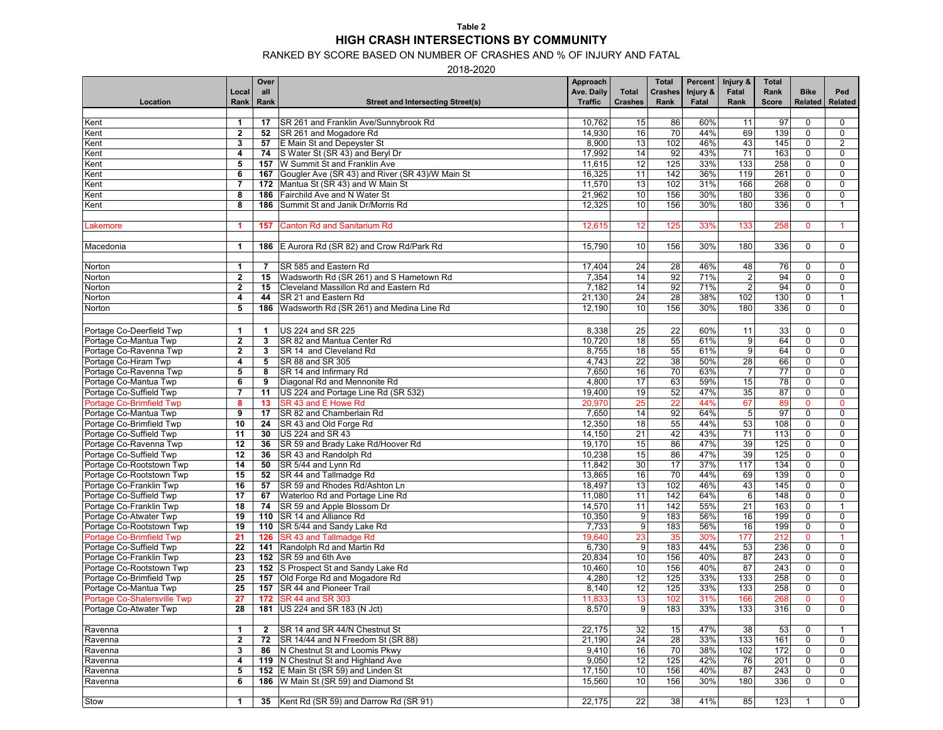### RANKED BY SCORE BASED ON NUMBER OF CRASHES AND % OF INJURY AND FATAL

2018-2020

|                             |                         | Over           |                                                     | Approach       |                | <b>Total</b>    | Percent  | Injury &        | <b>Total</b> |              |                |
|-----------------------------|-------------------------|----------------|-----------------------------------------------------|----------------|----------------|-----------------|----------|-----------------|--------------|--------------|----------------|
|                             | Local                   | all            |                                                     | Ave. Daily     | <b>Total</b>   | <b>Crashes</b>  | Injury & | Fatal           | Rank         | <b>Bike</b>  | Ped            |
| Location                    | Rank                    | Rank           | <b>Street and Intersecting Street(s)</b>            | <b>Traffic</b> | <b>Crashes</b> | Rank            | Fatal    | Rank            | <b>Score</b> | Related      | <b>Related</b> |
|                             |                         |                |                                                     |                |                |                 |          |                 |              |              |                |
| Kent                        | 1                       | 17             | SR 261 and Franklin Ave/Sunnybrook Rd               | 10,762         | 15             | 86              | 60%      | 11              | 97           | 0            | 0              |
| Kent                        | $\mathbf{2}$            | 52             | SR 261 and Mogadore Rd                              | 14,930         | 16             | 70              | 44%      | 69              | 139          | $\mathbf 0$  | $\mathbf 0$    |
| Kent                        | 3                       | 57             | E Main St and Depeyster St                          | 8,900          | 13             | 102             | 46%      | 43              | 145          | $\Omega$     | $\mathbf{2}$   |
| Kent                        | 4                       | 74             | S Water St (SR 43) and Beryl Dr                     | 17,992         | 14             | 92              | 43%      | 71              | 163          | $\Omega$     | $\mathbf 0$    |
| Kent                        | 5                       | 157            | W Summit St and Franklin Ave                        | 11,615         | 12             | 125             | 33%      | 133             | 258          | 0            | $\mathbf 0$    |
|                             | 6                       |                |                                                     | 16,325         |                | 142             | 36%      | 119             | 261          | $\mathbf 0$  | 0              |
| Kent                        |                         |                | 167 Gougler Ave (SR 43) and River (SR 43)/W Main St |                | 11             |                 |          |                 |              |              |                |
| Kent                        | $\overline{7}$          |                | 172 Mantua St (SR 43) and W Main St                 | 11,570         | 13             | 102             | 31%      | 166             | 268          | $\mathbf 0$  | 0              |
| Kent                        | 8                       | 186            | Fairchild Ave and N Water St                        | 21,962         | 10             | 156             | 30%      | 180             | 336          | $\mathbf 0$  | $\mathbf 0$    |
| Kent                        | 8                       |                | 186 Summit St and Janik Dr/Morris Rd                | 12,325         | 10             | 156             | 30%      | 180             | 336          | $\mathbf 0$  | $\mathbf{1}$   |
|                             |                         |                |                                                     |                |                |                 |          |                 |              |              |                |
| _akemore                    | 1                       | 157            | <b>Canton Rd and Sanitarium Rd</b>                  | 12,615         | 12             | 125             | 33%      | 133             | 258          | $\mathbf{0}$ |                |
|                             |                         |                |                                                     |                |                |                 |          |                 |              |              |                |
| Macedonia                   | 1                       |                | 186 E Aurora Rd (SR 82) and Crow Rd/Park Rd         | 15,790         | 10             | 156             | 30%      | 180             | 336          | $\mathbf 0$  | $\mathbf 0$    |
|                             |                         |                |                                                     |                |                |                 |          |                 |              |              |                |
| Norton                      | 1                       | 7              | SR 585 and Eastern Rd                               | 17,404         | 24             | 28              | 46%      | 48              | 76           | 0            | $\mathbf 0$    |
| Norton                      | $\overline{2}$          | 15             | Wadsworth Rd (SR 261) and S Hametown Rd             | 7,354          | 14             | 92              | 71%      | $\sqrt{2}$      | 94           | $\mathbf 0$  | $\mathbf 0$    |
| Norton                      | $\mathbf{2}$            | 15             | Cleveland Massillon Rd and Eastern Rd               | 7,182          | 14             | 92              | 71%      | $\overline{2}$  | 94           | $\mathbf 0$  | $\mathbf 0$    |
| Norton                      | 4                       | 44             | SR 21 and Eastern Rd                                | 21,130         | 24             | 28              | 38%      | 102             | 130          | 0            | $\mathbf{1}$   |
| Norton                      | $\overline{\mathbf{5}}$ |                | 186 Wadsworth Rd (SR 261) and Medina Line Rd        | 12,190         | 10             | 156             | 30%      | 180             | 336          | $\mathbf 0$  | $\mathbf 0$    |
|                             |                         |                |                                                     |                |                |                 |          |                 |              |              |                |
|                             |                         |                |                                                     |                |                |                 |          |                 |              |              |                |
| Portage Co-Deerfield Twp    | 1                       | $\mathbf 1$    | US 224 and SR 225                                   | 8,338          | 25             | 22              | 60%      | 11              | 33           | 0            | $\mathbf 0$    |
| Portage Co-Mantua Twp       | $\overline{2}$          | 3              | SR 82 and Mantua Center Rd                          | 10,720         | 18             | 55              | 61%      | 9               | 64           | 0            | $\mathbf 0$    |
| Portage Co-Ravenna Twp      | $\mathbf{2}$            | 3              | SR 14 and Cleveland Rd                              | 8,755          | 18             | 55              | 61%      | 9               | 64           | 0            | 0              |
| Portage Co-Hiram Twp        | 4                       | 5              | SR 88 and SR 305                                    | 4,743          | 22             | 38              | 50%      | 28              | 66           | 0            | $\mathbf 0$    |
| Portage Co-Ravenna Twp      | 5                       | 8              | SR 14 and Infirmary Rd                              | 7,650          | 16             | 70              | 63%      | $\overline{7}$  | 77           | $\Omega$     | $\mathbf 0$    |
| Portage Co-Mantua Twp       | 6                       | 9              | Diagonal Rd and Mennonite Rd                        | 4,800          | 17             | 63              | 59%      | 15              | 78           | $\Omega$     | $\mathbf 0$    |
| Portage Co-Suffield Twp     | $\overline{7}$          | 11             | US 224 and Portage Line Rd (SR 532)                 | 19,400         | 19             | 52              | 47%      | 35              | 87           | $\mathbf 0$  | $\mathbf 0$    |
| Portage Co-Brimfield Twp    | 8                       | 13             | SR 43 and E Howe Rd                                 | 20,970         | 25             | 22              | 44%      | 67              | 89           | $\mathbf{0}$ | $\mathbf 0$    |
| Portage Co-Mantua Twp       | 9                       | 17             | SR 82 and Chamberlain Rd                            | 7,650          | 14             | 92              | 64%      | $\sqrt{5}$      | 97           | $\mathbf 0$  | $\mathbf 0$    |
| Portage Co-Brimfield Twp    | 10                      | 24             | SR 43 and Old Forge Rd                              | 12,350         | 18             | 55              | 44%      | 53              | 108          | 0            | 0              |
| Portage Co-Suffield Twp     | 11                      | 30             | US 224 and SR 43                                    | 14,150         | 21             | 42              | 43%      | 71              | 113          | $\mathbf 0$  | $\mathbf 0$    |
| Portage Co-Ravenna Twp      | 12                      | 36             | SR 59 and Brady Lake Rd/Hoover Rd                   | 19,170         | 15             | 86              | 47%      | 39              | 125          | 0            | 0              |
| Portage Co-Suffield Twp     | 12                      | 36             | SR 43 and Randolph Rd                               | 10,238         | 15             | 86              | 47%      | 39              | 125          | $\pmb{0}$    | 0              |
| Portage Co-Rootstown Twp    | 14                      | 50             | SR 5/44 and Lynn Rd                                 | 11,842         | 30             | 17              | 37%      | 117             | 134          | $\Omega$     | $\mathbf 0$    |
| Portage Co-Rootstown Twp    | 15                      | 52             | SR 44 and Tallmadge Rd                              | 13,865         | 16             | 70              | 44%      | 69              | 139          | $\mathbf 0$  | $\mathbf 0$    |
| Portage Co-Franklin Twp     | 16                      | 57             | SR 59 and Rhodes Rd/Ashton Ln                       | 18,497         | 13             | 102             | 46%      | 43              | 145          | $\mathbf 0$  | $\mathbf 0$    |
|                             | 17                      |                |                                                     | 11,080         | 11             | 142             | 64%      | 6               | 148          | 0            | 0              |
| Portage Co-Suffield Twp     |                         | 67             | Waterloo Rd and Portage Line Rd                     |                |                |                 |          |                 |              |              |                |
| Portage Co-Franklin Twp     | 18                      | 74             | SR 59 and Apple Blossom Dr                          | 14,570         | 11             | 142             | 55%      | $\overline{21}$ | 163          | $\pmb{0}$    | $\mathbf{1}$   |
| Portage Co-Atwater Twp      | 19                      |                | 110   SR 14 and Alliance Rd                         | 10,350         | 9              | 183             | 56%      | 16              | 199          | $\mathbf 0$  | $\mathbf 0$    |
| Portage Co-Rootstown Twp    | 19                      |                | 110   SR 5/44 and Sandy Lake Rd                     | 7,733          | 9              | 183             | 56%      | 16              | 199          | 0            | 0              |
| Portage Co-Brimfield Twp    | 21                      |                | 126 SR 43 and Tallmadge Rd                          | 19,640         | 23             | 35              | 30%      | 177             | 212          | $\mathbf{0}$ |                |
| Portage Co-Suffield Twp     | 22                      |                | 141 Randolph Rd and Martin Rd                       | 6,730          | 9              | 183             | 44%      | 53              | 236          | $\mathbf 0$  | $\mathbf 0$    |
| Portage Co-Franklin Twp     | 23                      |                | 152   SR 59 and 6th Ave                             | 20,834         | 10             | 156             | 40%      | 87              | 243          | $\Omega$     | $\mathbf 0$    |
| Portage Co-Rootstown Twp    | 23                      |                | 152 S Prospect St and Sandy Lake Rd                 | 10,460         | 10             | 156             | 40%      | 87              | 243          | $\mathbf 0$  | 0              |
| Portage Co-Brimfield Twp    | 25                      |                | 157 Old Forge Rd and Mogadore Rd                    | 4,280          | 12             | 125             | 33%      | 133             | 258          | $\mathbf 0$  | $\mathbf 0$    |
| Portage Co-Mantua Twp       | 25                      |                | 157 SR 44 and Pioneer Trail                         | 8,140          | 12             | 125             | 33%      | 133             | 258          | $\mathbf 0$  | $\mathbf 0$    |
| Portage Co-Shalersville Twp | 27                      |                | <b>172 SR 44 and SR 303</b>                         | 11,833         | 13             | 102             | 31%      | 166             | 268          | $\mathbf 0$  | $\mathbf 0$    |
| Portage Co-Atwater Twp      | $\overline{28}$         |                | 181   US 224 and SR 183 (N Jct)                     | 8,570          | 9 <sup>1</sup> | 183             | 33%      | 133             | 316          | $\Omega$     | 0              |
|                             |                         |                |                                                     |                |                |                 |          |                 |              |              |                |
| Ravenna                     | $\mathbf{1}$            | $\overline{2}$ | SR 14 and SR 44/N Chestnut St                       | 22,175         | 32             | 15              | 47%      | 38              | 53           | $\mathbf 0$  | $\mathbf{1}$   |
| Ravenna                     | $\mathbf{2}$            | 72             | SR 14/44 and N Freedom St (SR 88)                   | 21,190         | 24             | $\overline{28}$ | 33%      | 133             | 161          | 0            | 0              |
| Ravenna                     | 3                       | 86             | N Chestnut St and Loomis Pkwy                       | 9,410          | 16             | 70              | 38%      | 102             | 172          | $\Omega$     | 0              |
| Ravenna                     | 4                       |                | 119 N Chestnut St and Highland Ave                  | 9,050          | 12             | 125             | 42%      | 76              | 201          | $\pmb{0}$    | 0              |
| Ravenna                     | 5                       |                | 152 E Main St (SR 59) and Linden St                 | 17,150         | 10             | 156             | 40%      | 87              | 243          | $\pmb{0}$    | 0              |
| Ravenna                     | 6                       |                | 186   W Main St (SR 59) and Diamond St              | 15,560         | 10             | 156             | 30%      | 180             | 336          | 0            | 0              |
|                             |                         |                |                                                     |                |                |                 |          |                 |              |              |                |
|                             | $\mathbf{1}$            |                | Kent Rd (SR 59) and Darrow Rd (SR 91)               | 22,175         | 22             | 38              | 41%      | 85              |              |              | $\mathbf 0$    |
| Stow                        |                         | 35             |                                                     |                |                |                 |          |                 | 123          | $\mathbf{1}$ |                |